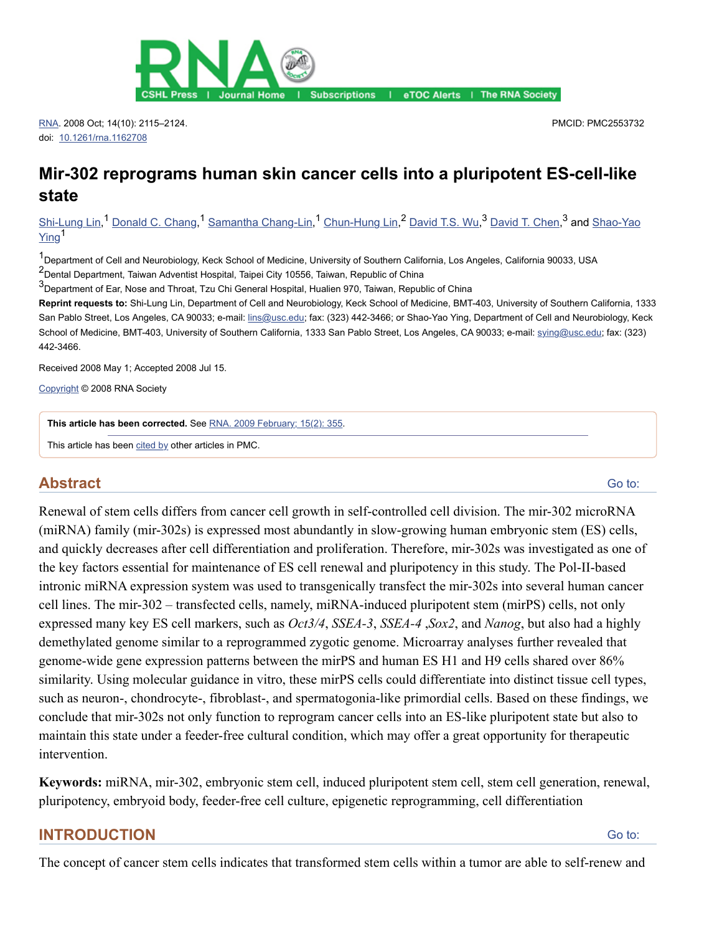

Journal Home | Subscriptions | eTOC Alerts | The RNA Society

[RNA.](https://www.ncbi.nlm.nih.gov/pmc/articles/PMC2553732/#) 2008 Oct; 14(10): 2115–2124. doi: [10.1261/rna.1162708](https://dx.doi.org/10.1261%2Frna.1162708)

PMCID: PMC2553732

# **Mir-302 reprograms human skin cancer cells into a pluripotent ES-cell-like state**

[Shi-Lung Lin,](https://www.ncbi.nlm.nih.gov/pubmed/?term=Lin%20SL%5BAuthor%5D&cauthor=true&cauthor_uid=18755840)<sup>1</sup> [Donald C. Chang,](https://www.ncbi.nlm.nih.gov/pubmed/?term=Chang%20DC%5BAuthor%5D&cauthor=true&cauthor_uid=18755840)<sup>1</sup> [Samantha Chang-Lin](https://www.ncbi.nlm.nih.gov/pubmed/?term=Chang-Lin%20S%5BAuthor%5D&cauthor=true&cauthor_uid=18755840),<sup>1</sup> [Chun-Hung Lin,](https://www.ncbi.nlm.nih.gov/pubmed/?term=Lin%20CH%5BAuthor%5D&cauthor=true&cauthor_uid=18755840)<sup>2</sup> [David T.S. Wu](https://www.ncbi.nlm.nih.gov/pubmed/?term=Wu%20DT%5BAuthor%5D&cauthor=true&cauthor_uid=18755840),<sup>3</sup> [D](https://www.ncbi.nlm.nih.gov/pubmed/?term=Ying%20SY%5BAuthor%5D&cauthor=true&cauthor_uid=18755840)[avid T. Che](https://www.ncbi.nlm.nih.gov/pubmed/?term=Chen%20DT%5BAuthor%5D&cauthor=true&cauthor_uid=18755840)n,<sup>3</sup> and Shao-Yao Ying<sup>1</sup>

1<br>Department of Cell and Neurobiology, Keck School of Medicine, University of Southern California, Los Angeles, California 90033, USA 2<br>PDental Department, Taiwan Adventist Hospital, Taipei City 10556, Taiwan, Republic of China

3<br>
Department of Ear, Nose and Throat, Tzu Chi General Hospital, Hualien 970, Taiwan, Republic of China

**Reprint requests to:** Shi-Lung Lin, Department of Cell and Neurobiology, Keck School of Medicine, BMT-403, University of Southern California, 1333 San Pablo Street, Los Angeles, CA 90033; e-mail: [lins@usc.edu](mailto:dev@null); fax: (323) 442-3466; or Shao-Yao Ying, Department of Cell and Neurobiology, Keck School of Medicine, BMT-403, University of Southern California, 1333 San Pablo Street, Los Angeles, CA 90033; e-mail: sving@usc.edu; fax: (323) 442-3466.

Received 2008 May 1; Accepted 2008 Jul 15.

[Copyright](https://www.ncbi.nlm.nih.gov/pmc/about/copyright/) © 2008 RNA Society

**This article has been corrected.** See [RNA. 2009 February; 15\(2\): 355.](https://www.ncbi.nlm.nih.gov/pmc/articles/PMC2648718/)

This article has been [cited by](https://www.ncbi.nlm.nih.gov/pmc/articles/PMC2553732/citedby/) other articles in PMC.

## **Abstract**

[Go to:](https://www.ncbi.nlm.nih.gov/pmc/articles/PMC2553732/#)

Renewal of stem cells differs from cancer cell growth in self-controlled cell division. The mir-302 microRNA (miRNA) family (mir-302s) is expressed most abundantly in slow-growing human embryonic stem (ES) cells, and quickly decreases after cell differentiation and proliferation. Therefore, mir-302s was investigated as one of the key factors essential for maintenance of ES cell renewal and pluripotency in this study. The Pol-II-based intronic miRNA expression system was used to transgenically transfect the mir-302s into several human cancer cell lines. The mir-302 – transfected cells, namely, miRNA-induced pluripotent stem (mirPS) cells, not only expressed many key ES cell markers, such as *Oct3/4*, *SSEA-3*, *SSEA-4* ,*Sox2*, and *Nanog*, but also had a highly demethylated genome similar to a reprogrammed zygotic genome. Microarray analyses further revealed that genome-wide gene expression patterns between the mirPS and human ES H1 and H9 cells shared over 86% similarity. Using molecular guidance in vitro, these mirPS cells could differentiate into distinct tissue cell types, such as neuron-, chondrocyte-, fibroblast-, and spermatogonia-like primordial cells. Based on these findings, we conclude that mir-302s not only function to reprogram cancer cells into an ES-like pluripotent state but also to maintain this state under a feeder-free cultural condition, which may offer a great opportunity for therapeutic intervention.

**Keywords:** miRNA, mir-302, embryonic stem cell, induced pluripotent stem cell, stem cell generation, renewal, pluripotency, embryoid body, feeder-free cell culture, epigenetic reprogramming, cell differentiation

## **INTRODUCTION**

[Go to:](https://www.ncbi.nlm.nih.gov/pmc/articles/PMC2553732/#)

The concept of cancer stem cells indicates that transformed stem cells within a tumor are able to self-renew and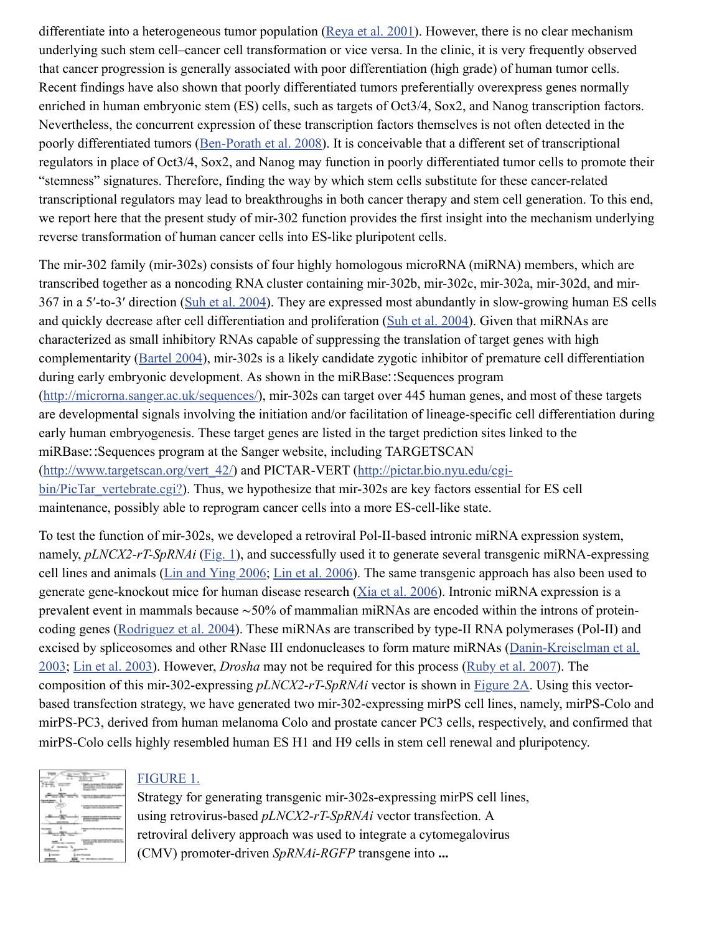differentiate into a heterogeneous tumor population ( $Reya$  et al. 2001). However, there is no clear mechanism underlying such stem cell–cancer cell transformation or vice versa. In the clinic, it is very frequently observed that cancer progression is generally associated with poor differentiation (high grade) of human tumor cells. Recent findings have also shown that poorly differentiated tumors preferentially overexpress genes normally enriched in human embryonic stem (ES) cells, such as targets of Oct3/4, Sox2, and Nanog transcription factors. Nevertheless, the concurrent expression of these transcription factors themselves is not often detected in the poorly differentiated tumors [\(Ben-Porath et al. 2008](https://www.ncbi.nlm.nih.gov/pmc/articles/PMC2553732/#B02)). It is conceivable that a different set of transcriptional regulators in place of Oct3/4, Sox2, and Nanog may function in poorly differentiated tumor cells to promote their "stemness" signatures. Therefore, finding the way by which stem cells substitute for these cancer-related transcriptional regulators may lead to breakthroughs in both cancer therapy and stem cell generation. To this end, we report here that the present study of mir-302 function provides the first insight into the mechanism underlying reverse transformation of human cancer cells into ES-like pluripotent cells.

The mir-302 family (mir-302s) consists of four highly homologous microRNA (miRNA) members, which are transcribed together as a noncoding RNA cluster containing mir-302b, mir-302c, mir-302a, mir-302d, and mir-367 in a 5′-to-3′ direction ([Suh et al. 2004\)](https://www.ncbi.nlm.nih.gov/pmc/articles/PMC2553732/#B15). They are expressed most abundantly in slow-growing human ES cells and quickly decrease after cell differentiation and proliferation [\(Suh et al. 2004](https://www.ncbi.nlm.nih.gov/pmc/articles/PMC2553732/#B15)). Given that miRNAs are characterized as small inhibitory RNAs capable of suppressing the translation of target genes with high complementarity ([Bartel 2004\)](https://www.ncbi.nlm.nih.gov/pmc/articles/PMC2553732/#B01), mir-302s is a likely candidate zygotic inhibitor of premature cell differentiation during early embryonic development. As shown in the miRBase∷Sequences program ([http://microrna.sanger.ac.uk/sequences/\)](http://microrna.sanger.ac.uk/sequences/), mir-302s can target over 445 human genes, and most of these targets are developmental signals involving the initiation and/or facilitation of lineage-specific cell differentiation during early human embryogenesis. These target genes are listed in the target prediction sites linked to the miRBase∷Sequences program at the Sanger website, including TARGETSCAN [\(http://www.targetscan.org/vert\\_42/\) and PICTAR-VERT \(http://pictar.bio.nyu.edu/cgi](http://pictar.bio.nyu.edu/cgi-bin/PicTar_vertebrate.cgi?)bin/PicTar\_vertebrate.cgi?). Thus, we hypothesize that mir-302s are key factors essential for ES cell maintenance, possibly able to reprogram cancer cells into a more ES-cell-like state.

To test the function of mir-302s, we developed a retroviral Pol-II-based intronic miRNA expression system, namely, *pLNCX2-rT-SpRNAi* [\(Fig. 1](https://www.ncbi.nlm.nih.gov/pmc/articles/PMC2553732/figure/F1/)), and successfully used it to generate several transgenic miRNA-expressing cell lines and animals [\(Lin and Ying 2006;](https://www.ncbi.nlm.nih.gov/pmc/articles/PMC2553732/#B05) [Lin et al. 2006\)](https://www.ncbi.nlm.nih.gov/pmc/articles/PMC2553732/#B07). The same transgenic approach has also been used to generate gene-knockout mice for human disease research [\(Xia et al. 2006](https://www.ncbi.nlm.nih.gov/pmc/articles/PMC2553732/#B20)). Intronic miRNA expression is a prevalent event in mammals because ∼50% of mammalian miRNAs are encoded within the introns of proteincoding genes [\(Rodriguez et al. 2004](https://www.ncbi.nlm.nih.gov/pmc/articles/PMC2553732/#B12)). These miRNAs are transcribed by type-II RNA polymerases (Pol-II) and [excised by spliceosomes and other RNase III endonucleases to form mature miRNAs \(Danin-Kreiselman et al.](https://www.ncbi.nlm.nih.gov/pmc/articles/PMC2553732/#B03) 2003; [Lin et al. 2003\)](https://www.ncbi.nlm.nih.gov/pmc/articles/PMC2553732/#B06). However, *Drosha* may not be required for this process ([Ruby et al. 2007\)](https://www.ncbi.nlm.nih.gov/pmc/articles/PMC2553732/#B13). The composition of this mir-302-expressing *pLNCX2-rT-SpRNAi* vector is shown in [Figure 2A](https://www.ncbi.nlm.nih.gov/pmc/articles/PMC2553732/figure/F2/). Using this vectorbased transfection strategy, we have generated two mir-302-expressing mirPS cell lines, namely, mirPS-Colo and mirPS-PC3, derived from human melanoma Colo and prostate cancer PC3 cells, respectively, and confirmed that mirPS-Colo cells highly resembled human ES H1 and H9 cells in stem cell renewal and pluripotency.

| 67.61 |                                       |
|-------|---------------------------------------|
| ---   | <b>CONTRACTOR</b>                     |
|       | <b>COMPANY AND COMPANY OF HIS 200</b> |
|       | ----<br><b>Service</b>                |
|       |                                       |
|       | <b><i>DOMESTICS</i></b>               |
|       |                                       |
|       |                                       |

# [FIGURE 1.](https://www.ncbi.nlm.nih.gov/pmc/articles/PMC2553732/figure/F1/)

Strategy for generating transgenic mir-302s-expressing mirPS cell lines, using retrovirus-based *pLNCX2-rT-SpRNAi* vector transfection. A retroviral delivery approach was used to integrate a cytomegalovirus (CMV) promoter-driven *SpRNAi-RGFP* transgene into **...**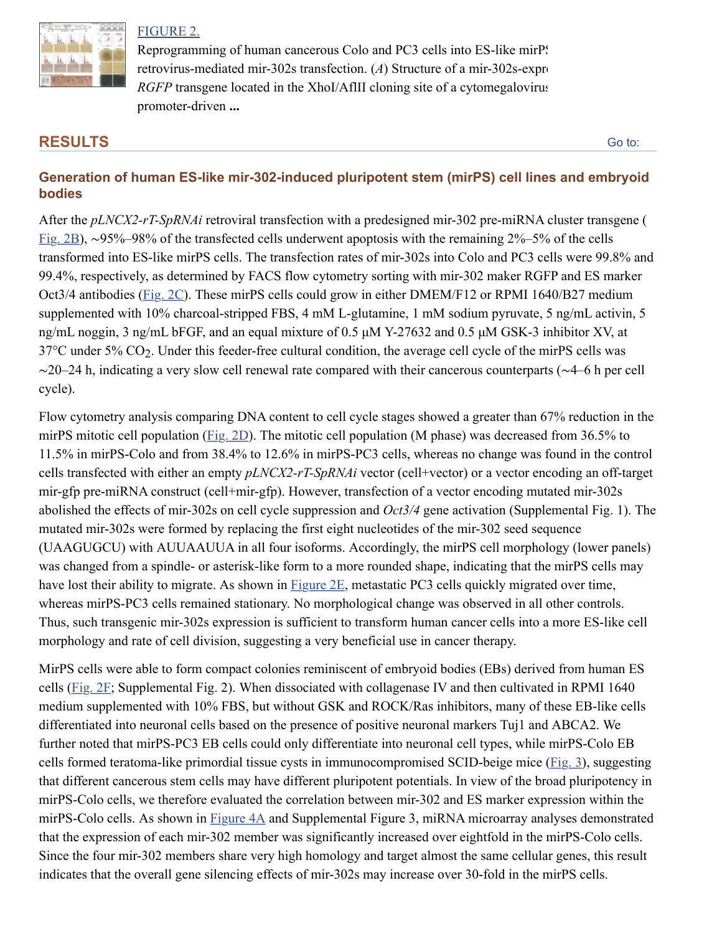

#### [FIGURE 2.](https://www.ncbi.nlm.nih.gov/pmc/articles/PMC2553732/figure/F2/)

Reprogramming of human cancerous Colo and PC3 cells into ES-like mirPs retrovirus-mediated mir-302s transfection. (*A*) Structure of a mir-302s-expression *RGFP* transgene located in the XhoI/AflII cloning site of a cytomegalovirus promoter-driven **...**

# **RESULTS**

[Go to:](https://www.ncbi.nlm.nih.gov/pmc/articles/PMC2553732/#)

## **Generation of human ES-like mir-302-induced pluripotent stem (mirPS) cell lines and embryoid bodies**

After the *pLNCX2-rT-SpRNAi* retroviral transfection with a predesigned mir-302 pre-miRNA cluster transgene ( [Fig. 2B\)](https://www.ncbi.nlm.nih.gov/pmc/articles/PMC2553732/figure/F2/), ∼95%–98% of the transfected cells underwent apoptosis with the remaining 2%–5% of the cells transformed into ES-like mirPS cells. The transfection rates of mir-302s into Colo and PC3 cells were 99.8% and 99.4%, respectively, as determined by FACS flow cytometry sorting with mir-302 maker RGFP and ES marker Oct3/4 antibodies [\(Fig. 2C\)](https://www.ncbi.nlm.nih.gov/pmc/articles/PMC2553732/figure/F2/). These mirPS cells could grow in either DMEM/F12 or RPMI 1640/B27 medium supplemented with 10% charcoal-stripped FBS, 4 mM L-glutamine, 1 mM sodium pyruvate, 5 ng/mL activin, 5 ng/mL noggin, 3 ng/mL bFGF, and an equal mixture of 0.5 µM Y-27632 and 0.5 µM GSK-3 inhibitor XV, at  $37^{\circ}$ C under 5% CO<sub>2</sub>. Under this feeder-free cultural condition, the average cell cycle of the mirPS cells was ∼20–24 h, indicating a very slow cell renewal rate compared with their cancerous counterparts (∼4–6 h per cell cycle).

Flow cytometry analysis comparing DNA content to cell cycle stages showed a greater than 67% reduction in the mirPS mitotic cell population ([Fig. 2D\)](https://www.ncbi.nlm.nih.gov/pmc/articles/PMC2553732/figure/F2/). The mitotic cell population (M phase) was decreased from 36.5% to 11.5% in mirPS-Colo and from 38.4% to 12.6% in mirPS-PC3 cells, whereas no change was found in the control cells transfected with either an empty *pLNCX2-rT-SpRNAi* vector (cell+vector) or a vector encoding an off-target mir-gfp pre-miRNA construct (cell+mir-gfp). However, transfection of a vector encoding mutated mir-302s abolished the effects of mir-302s on cell cycle suppression and *Oct3/4* gene activation (Supplemental Fig. 1). The mutated mir-302s were formed by replacing the first eight nucleotides of the mir-302 seed sequence (UAAGUGCU) with AUUAAUUA in all four isoforms. Accordingly, the mirPS cell morphology (lower panels) was changed from a spindle- or asterisk-like form to a more rounded shape, indicating that the mirPS cells may have lost their ability to migrate. As shown in [Figure 2E](https://www.ncbi.nlm.nih.gov/pmc/articles/PMC2553732/figure/F2/), metastatic PC3 cells quickly migrated over time, whereas mirPS-PC3 cells remained stationary. No morphological change was observed in all other controls. Thus, such transgenic mir-302s expression is sufficient to transform human cancer cells into a more ES-like cell morphology and rate of cell division, suggesting a very beneficial use in cancer therapy.

MirPS cells were able to form compact colonies reminiscent of embryoid bodies (EBs) derived from human ES cells [\(Fig. 2F](https://www.ncbi.nlm.nih.gov/pmc/articles/PMC2553732/figure/F2/); Supplemental Fig. 2). When dissociated with collagenase IV and then cultivated in RPMI 1640 medium supplemented with 10% FBS, but without GSK and ROCK/Ras inhibitors, many of these EB-like cells differentiated into neuronal cells based on the presence of positive neuronal markers Tuj1 and ABCA2. We further noted that mirPS-PC3 EB cells could only differentiate into neuronal cell types, while mirPS-Colo EB cells formed teratoma-like primordial tissue cysts in immunocompromised SCID-beige mice ([Fig. 3\)](https://www.ncbi.nlm.nih.gov/pmc/articles/PMC2553732/figure/F3/), suggesting that different cancerous stem cells may have different pluripotent potentials. In view of the broad pluripotency in mirPS-Colo cells, we therefore evaluated the correlation between mir-302 and ES marker expression within the mirPS-Colo cells. As shown in [Figure 4A](https://www.ncbi.nlm.nih.gov/pmc/articles/PMC2553732/figure/F4/) and Supplemental Figure 3, miRNA microarray analyses demonstrated that the expression of each mir-302 member was significantly increased over eightfold in the mirPS-Colo cells. Since the four mir-302 members share very high homology and target almost the same cellular genes, this result indicates that the overall gene silencing effects of mir-302s may increase over 30-fold in the mirPS cells.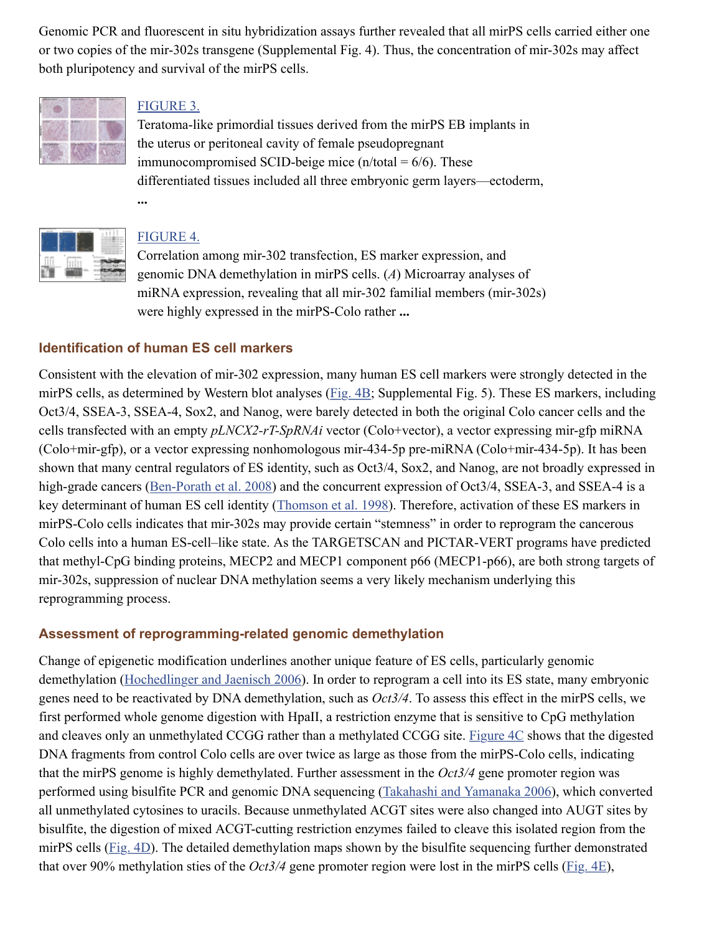Genomic PCR and fluorescent in situ hybridization assays further revealed that all mirPS cells carried either one or two copies of the mir-302s transgene (Supplemental Fig. 4). Thus, the concentration of mir-302s may affect both pluripotency and survival of the mirPS cells.



## [FIGURE 3.](https://www.ncbi.nlm.nih.gov/pmc/articles/PMC2553732/figure/F3/)

Teratoma-like primordial tissues derived from the mirPS EB implants in the uterus or peritoneal cavity of female pseudopregnant immunocompromised SCID-beige mice  $(n/\text{total} = 6/6)$ . These differentiated tissues included all three embryonic germ layers—ectoderm, **...**



#### [FIGURE 4.](https://www.ncbi.nlm.nih.gov/pmc/articles/PMC2553732/figure/F4/)

Correlation among mir-302 transfection, ES marker expression, and genomic DNA demethylation in mirPS cells. (*A*) Microarray analyses of miRNA expression, revealing that all mir-302 familial members (mir-302s) were highly expressed in the mirPS-Colo rather **...**

#### **Identification of human ES cell markers**

Consistent with the elevation of mir-302 expression, many human ES cell markers were strongly detected in the mirPS cells, as determined by Western blot analyses ([Fig. 4B;](https://www.ncbi.nlm.nih.gov/pmc/articles/PMC2553732/figure/F4/) Supplemental Fig. 5). These ES markers, including Oct3/4, SSEA-3, SSEA-4, Sox2, and Nanog, were barely detected in both the original Colo cancer cells and the cells transfected with an empty *pLNCX2-rT-SpRNAi* vector (Colo+vector), a vector expressing mir-gfp miRNA (Colo+mir-gfp), or a vector expressing nonhomologous mir-434-5p pre-miRNA (Colo+mir-434-5p). It has been shown that many central regulators of ES identity, such as Oct3/4, Sox2, and Nanog, are not broadly expressed in high-grade cancers ([Ben-Porath et al. 2008](https://www.ncbi.nlm.nih.gov/pmc/articles/PMC2553732/#B02)) and the concurrent expression of Oct3/4, SSEA-3, and SSEA-4 is a key determinant of human ES cell identity ([Thomson et al. 1998\)](https://www.ncbi.nlm.nih.gov/pmc/articles/PMC2553732/#B18). Therefore, activation of these ES markers in mirPS-Colo cells indicates that mir-302s may provide certain "stemness" in order to reprogram the cancerous Colo cells into a human ES-cell–like state. As the TARGETSCAN and PICTAR-VERT programs have predicted that methyl-CpG binding proteins, MECP2 and MECP1 component p66 (MECP1-p66), are both strong targets of mir-302s, suppression of nuclear DNA methylation seems a very likely mechanism underlying this reprogramming process.

#### **Assessment of reprogramming-related genomic demethylation**

Change of epigenetic modification underlines another unique feature of ES cells, particularly genomic demethylation ([Hochedlinger and Jaenisch 2006\)](https://www.ncbi.nlm.nih.gov/pmc/articles/PMC2553732/#B04). In order to reprogram a cell into its ES state, many embryonic genes need to be reactivated by DNA demethylation, such as *Oct3/4*. To assess this effect in the mirPS cells, we first performed whole genome digestion with HpaII, a restriction enzyme that is sensitive to CpG methylation and cleaves only an unmethylated CCGG rather than a methylated CCGG site. [Figure 4C](https://www.ncbi.nlm.nih.gov/pmc/articles/PMC2553732/figure/F4/) shows that the digested DNA fragments from control Colo cells are over twice as large as those from the mirPS-Colo cells, indicating that the mirPS genome is highly demethylated. Further assessment in the *Oct3/4* gene promoter region was performed using bisulfite PCR and genomic DNA sequencing ([Takahashi and Yamanaka 2006\)](https://www.ncbi.nlm.nih.gov/pmc/articles/PMC2553732/#B16), which converted all unmethylated cytosines to uracils. Because unmethylated ACGT sites were also changed into AUGT sites by bisulfite, the digestion of mixed ACGT-cutting restriction enzymes failed to cleave this isolated region from the mirPS cells [\(Fig. 4D](https://www.ncbi.nlm.nih.gov/pmc/articles/PMC2553732/figure/F4/)). The detailed demethylation maps shown by the bisulfite sequencing further demonstrated that over 90% methylation sties of the *Oct3/4* gene promoter region were lost in the mirPS cells [\(Fig. 4E\)](https://www.ncbi.nlm.nih.gov/pmc/articles/PMC2553732/figure/F4/),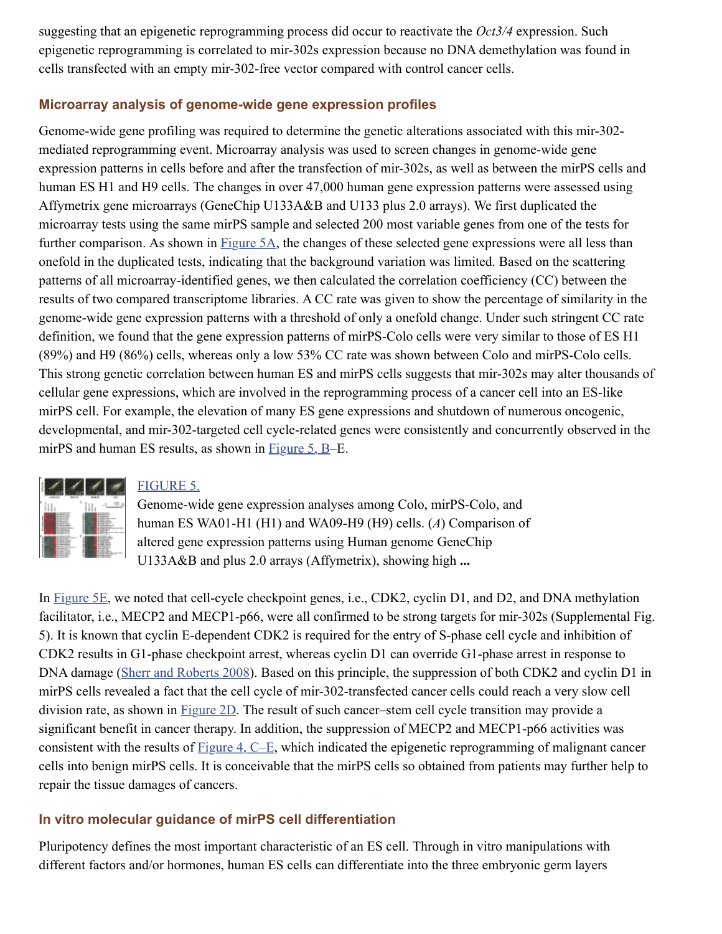suggesting that an epigenetic reprogramming process did occur to reactivate the *Oct3/4* expression. Such epigenetic reprogramming is correlated to mir-302s expression because no DNA demethylation was found in cells transfected with an empty mir-302-free vector compared with control cancer cells.

#### **Microarray analysis of genome-wide gene expression profiles**

Genome-wide gene profiling was required to determine the genetic alterations associated with this mir-302 mediated reprogramming event. Microarray analysis was used to screen changes in genome-wide gene expression patterns in cells before and after the transfection of mir-302s, as well as between the mirPS cells and human ES H1 and H9 cells. The changes in over 47,000 human gene expression patterns were assessed using Affymetrix gene microarrays (GeneChip U133A&B and U133 plus 2.0 arrays). We first duplicated the microarray tests using the same mirPS sample and selected 200 most variable genes from one of the tests for further comparison. As shown in **Figure 5A**, the changes of these selected gene expressions were all less than onefold in the duplicated tests, indicating that the background variation was limited. Based on the scattering patterns of all microarray-identified genes, we then calculated the correlation coefficiency (CC) between the results of two compared transcriptome libraries. A CC rate was given to show the percentage of similarity in the genome-wide gene expression patterns with a threshold of only a onefold change. Under such stringent CC rate definition, we found that the gene expression patterns of mirPS-Colo cells were very similar to those of ES H1 (89%) and H9 (86%) cells, whereas only a low 53% CC rate was shown between Colo and mirPS-Colo cells. This strong genetic correlation between human ES and mirPS cells suggests that mir-302s may alter thousands of cellular gene expressions, which are involved in the reprogramming process of a cancer cell into an ES-like mirPS cell. For example, the elevation of many ES gene expressions and shutdown of numerous oncogenic, developmental, and mir-302-targeted cell cycle-related genes were consistently and concurrently observed in the mirPS and human ES results, as shown in [Figure 5, B](https://www.ncbi.nlm.nih.gov/pmc/articles/PMC2553732/figure/F5/)–E.



#### [FIGURE 5.](https://www.ncbi.nlm.nih.gov/pmc/articles/PMC2553732/figure/F5/)

Genome-wide gene expression analyses among Colo, mirPS-Colo, and human ES WA01-H1 (H1) and WA09-H9 (H9) cells. (*A*) Comparison of altered gene expression patterns using Human genome GeneChip U133A&B and plus 2.0 arrays (Affymetrix), showing high **...**

In [Figure 5E](https://www.ncbi.nlm.nih.gov/pmc/articles/PMC2553732/figure/F5/), we noted that cell-cycle checkpoint genes, i.e., CDK2, cyclin D1, and D2, and DNA methylation facilitator, i.e., MECP2 and MECP1-p66, were all confirmed to be strong targets for mir-302s (Supplemental Fig. 5). It is known that cyclin E-dependent CDK2 is required for the entry of S-phase cell cycle and inhibition of CDK2 results in G1-phase checkpoint arrest, whereas cyclin D1 can override G1-phase arrest in response to DNA damage ([Sherr and Roberts 2008\)](https://www.ncbi.nlm.nih.gov/pmc/articles/PMC2553732/#B14). Based on this principle, the suppression of both CDK2 and cyclin D1 in mirPS cells revealed a fact that the cell cycle of mir-302-transfected cancer cells could reach a very slow cell division rate, as shown in [Figure 2D](https://www.ncbi.nlm.nih.gov/pmc/articles/PMC2553732/figure/F2/). The result of such cancer–stem cell cycle transition may provide a significant benefit in cancer therapy. In addition, the suppression of MECP2 and MECP1-p66 activities was consistent with the results of [Figure 4, C–E,](https://www.ncbi.nlm.nih.gov/pmc/articles/PMC2553732/figure/F4/) which indicated the epigenetic reprogramming of malignant cancer cells into benign mirPS cells. It is conceivable that the mirPS cells so obtained from patients may further help to repair the tissue damages of cancers.

## **In vitro molecular guidance of mirPS cell differentiation**

Pluripotency defines the most important characteristic of an ES cell. Through in vitro manipulations with different factors and/or hormones, human ES cells can differentiate into the three embryonic germ layers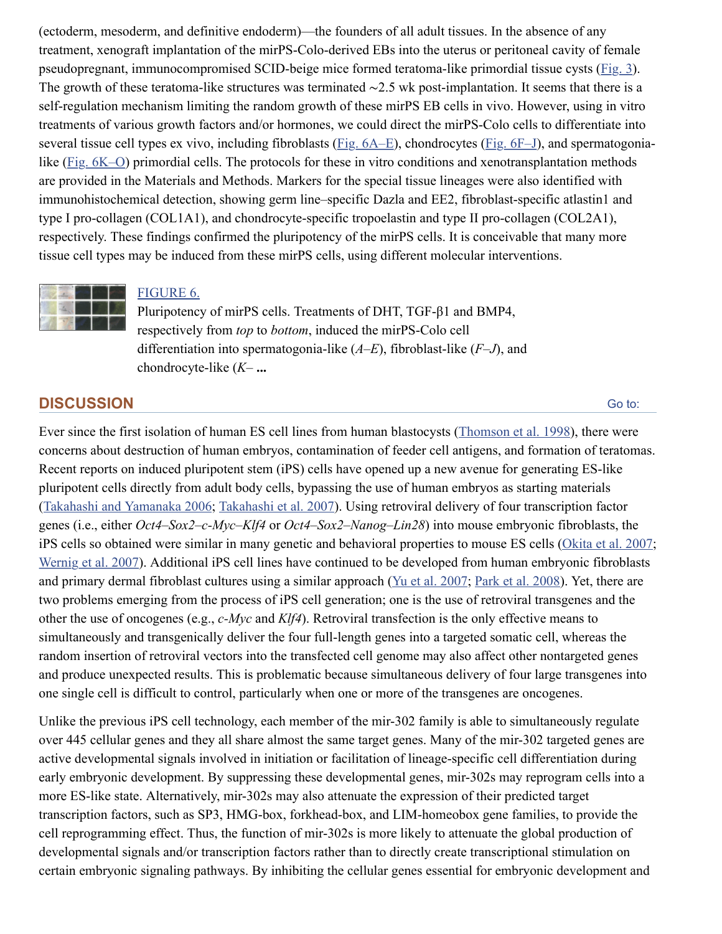(ectoderm, mesoderm, and definitive endoderm)—the founders of all adult tissues. In the absence of any treatment, xenograft implantation of the mirPS-Colo-derived EBs into the uterus or peritoneal cavity of female pseudopregnant, immunocompromised SCID-beige mice formed teratoma-like primordial tissue cysts ([Fig. 3](https://www.ncbi.nlm.nih.gov/pmc/articles/PMC2553732/figure/F3/)). The growth of these teratoma-like structures was terminated ∼2.5 wk post-implantation. It seems that there is a self-regulation mechanism limiting the random growth of these mirPS EB cells in vivo. However, using in vitro treatments of various growth factors and/or hormones, we could direct the mirPS-Colo cells to differentiate into several tissue cell types ex vivo, including fibroblasts [\(Fig. 6A–E](https://www.ncbi.nlm.nih.gov/pmc/articles/PMC2553732/figure/F6/)), chondrocytes ([Fig. 6F–J](https://www.ncbi.nlm.nih.gov/pmc/articles/PMC2553732/figure/F6/)), and spermatogonia-like ([Fig. 6K–O\)](https://www.ncbi.nlm.nih.gov/pmc/articles/PMC2553732/figure/F6/) primordial cells. The protocols for these in vitro conditions and xenotransplantation methods are provided in the Materials and Methods. Markers for the special tissue lineages were also identified with immunohistochemical detection, showing germ line–specific Dazla and EE2, fibroblast-specific atlastin1 and type I pro-collagen (COL1A1), and chondrocyte-specific tropoelastin and type II pro-collagen (COL2A1), respectively. These findings confirmed the pluripotency of the mirPS cells. It is conceivable that many more tissue cell types may be induced from these mirPS cells, using different molecular interventions.



#### [FIGURE 6.](https://www.ncbi.nlm.nih.gov/pmc/articles/PMC2553732/figure/F6/)

Pluripotency of mirPS cells. Treatments of DHT, TGF-β1 and BMP4, respectively from *top* to *bottom*, induced the mirPS-Colo cell differentiation into spermatogonia-like (*A*–*E*), fibroblast-like (*F*–*J*), and chondrocyte-like (*K*– **...**

#### **DISCUSSION**

[Go to:](https://www.ncbi.nlm.nih.gov/pmc/articles/PMC2553732/#)

Ever since the first isolation of human ES cell lines from human blastocysts [\(Thomson et al. 1998\)](https://www.ncbi.nlm.nih.gov/pmc/articles/PMC2553732/#B18), there were concerns about destruction of human embryos, contamination of feeder cell antigens, and formation of teratomas. Recent reports on induced pluripotent stem (iPS) cells have opened up a new avenue for generating ES-like pluripotent cells directly from adult body cells, bypassing the use of human embryos as starting materials ([Takahashi and Yamanaka 2006;](https://www.ncbi.nlm.nih.gov/pmc/articles/PMC2553732/#B16) [Takahashi et al. 2007\)](https://www.ncbi.nlm.nih.gov/pmc/articles/PMC2553732/#B17). Using retroviral delivery of four transcription factor genes (i.e., either *Oct4*–*Sox2*–*c-Myc*–*Klf4* or *Oct4*–*Sox2*–*Nanog*–*Lin28*) into mouse embryonic fibroblasts, the iPS cells so obtained were similar in many genetic and behavioral properties to mouse ES cells [\(Okita et al. 2007;](https://www.ncbi.nlm.nih.gov/pmc/articles/PMC2553732/#B09) [Wernig et al. 2007\)](https://www.ncbi.nlm.nih.gov/pmc/articles/PMC2553732/#B19). Additional iPS cell lines have continued to be developed from human embryonic fibroblasts and primary dermal fibroblast cultures using a similar approach ([Yu et al. 2007;](https://www.ncbi.nlm.nih.gov/pmc/articles/PMC2553732/#B21) [Park et al. 2008](https://www.ncbi.nlm.nih.gov/pmc/articles/PMC2553732/#B10)). Yet, there are two problems emerging from the process of iPS cell generation; one is the use of retroviral transgenes and the other the use of oncogenes (e.g., *c-Myc* and *Klf4*). Retroviral transfection is the only effective means to simultaneously and transgenically deliver the four full-length genes into a targeted somatic cell, whereas the random insertion of retroviral vectors into the transfected cell genome may also affect other nontargeted genes and produce unexpected results. This is problematic because simultaneous delivery of four large transgenes into one single cell is difficult to control, particularly when one or more of the transgenes are oncogenes.

Unlike the previous iPS cell technology, each member of the mir-302 family is able to simultaneously regulate over 445 cellular genes and they all share almost the same target genes. Many of the mir-302 targeted genes are active developmental signals involved in initiation or facilitation of lineage-specific cell differentiation during early embryonic development. By suppressing these developmental genes, mir-302s may reprogram cells into a more ES-like state. Alternatively, mir-302s may also attenuate the expression of their predicted target transcription factors, such as SP3, HMG-box, forkhead-box, and LIM-homeobox gene families, to provide the cell reprogramming effect. Thus, the function of mir-302s is more likely to attenuate the global production of developmental signals and/or transcription factors rather than to directly create transcriptional stimulation on certain embryonic signaling pathways. By inhibiting the cellular genes essential for embryonic development and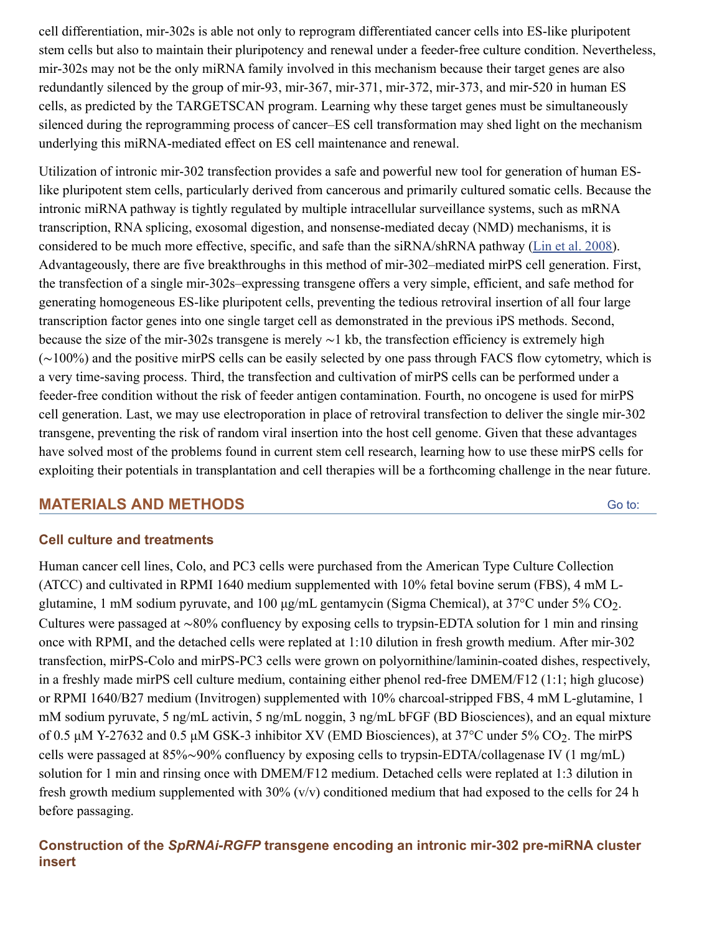cell differentiation, mir-302s is able not only to reprogram differentiated cancer cells into ES-like pluripotent stem cells but also to maintain their pluripotency and renewal under a feeder-free culture condition. Nevertheless, mir-302s may not be the only miRNA family involved in this mechanism because their target genes are also redundantly silenced by the group of mir-93, mir-367, mir-371, mir-372, mir-373, and mir-520 in human ES cells, as predicted by the TARGETSCAN program. Learning why these target genes must be simultaneously silenced during the reprogramming process of cancer–ES cell transformation may shed light on the mechanism underlying this miRNA-mediated effect on ES cell maintenance and renewal.

Utilization of intronic mir-302 transfection provides a safe and powerful new tool for generation of human ESlike pluripotent stem cells, particularly derived from cancerous and primarily cultured somatic cells. Because the intronic miRNA pathway is tightly regulated by multiple intracellular surveillance systems, such as mRNA transcription, RNA splicing, exosomal digestion, and nonsense-mediated decay (NMD) mechanisms, it is considered to be much more effective, specific, and safe than the siRNA/shRNA pathway [\(Lin et al. 2008](https://www.ncbi.nlm.nih.gov/pmc/articles/PMC2553732/#B08)). Advantageously, there are five breakthroughs in this method of mir-302–mediated mirPS cell generation. First, the transfection of a single mir-302s–expressing transgene offers a very simple, efficient, and safe method for generating homogeneous ES-like pluripotent cells, preventing the tedious retroviral insertion of all four large transcription factor genes into one single target cell as demonstrated in the previous iPS methods. Second, because the size of the mir-302s transgene is merely ∼1 kb, the transfection efficiency is extremely high (∼100%) and the positive mirPS cells can be easily selected by one pass through FACS flow cytometry, which is a very time-saving process. Third, the transfection and cultivation of mirPS cells can be performed under a feeder-free condition without the risk of feeder antigen contamination. Fourth, no oncogene is used for mirPS cell generation. Last, we may use electroporation in place of retroviral transfection to deliver the single mir-302 transgene, preventing the risk of random viral insertion into the host cell genome. Given that these advantages have solved most of the problems found in current stem cell research, learning how to use these mirPS cells for exploiting their potentials in transplantation and cell therapies will be a forthcoming challenge in the near future.

# **MATERIALS AND METHODS**

[Go to:](https://www.ncbi.nlm.nih.gov/pmc/articles/PMC2553732/#)

## **Cell culture and treatments**

Human cancer cell lines, Colo, and PC3 cells were purchased from the American Type Culture Collection (ATCC) and cultivated in RPMI 1640 medium supplemented with 10% fetal bovine serum (FBS), 4 mM Lglutamine, 1 mM sodium pyruvate, and 100  $\mu$ g/mL gentamycin (Sigma Chemical), at 37°C under 5% CO<sub>2</sub>. Cultures were passaged at ∼80% confluency by exposing cells to trypsin-EDTA solution for 1 min and rinsing once with RPMI, and the detached cells were replated at 1:10 dilution in fresh growth medium. After mir-302 transfection, mirPS-Colo and mirPS-PC3 cells were grown on polyornithine/laminin-coated dishes, respectively, in a freshly made mirPS cell culture medium, containing either phenol red-free DMEM/F12 (1:1; high glucose) or RPMI 1640/B27 medium (Invitrogen) supplemented with 10% charcoal-stripped FBS, 4 mM L-glutamine, 1 mM sodium pyruvate, 5 ng/mL activin, 5 ng/mL noggin, 3 ng/mL bFGF (BD Biosciences), and an equal mixture of 0.5  $\mu$ M Y-27632 and 0.5  $\mu$ M GSK-3 inhibitor XV (EMD Biosciences), at 37°C under 5% CO<sub>2</sub>. The mirPS cells were passaged at 85%∼90% confluency by exposing cells to trypsin-EDTA/collagenase IV (1 mg/mL) solution for 1 min and rinsing once with DMEM/F12 medium. Detached cells were replated at 1:3 dilution in fresh growth medium supplemented with  $30\%$  (v/v) conditioned medium that had exposed to the cells for 24 h before passaging.

# **Construction of the** *SpRNAi-RGFP* **transgene encoding an intronic mir-302 pre-miRNA cluster insert**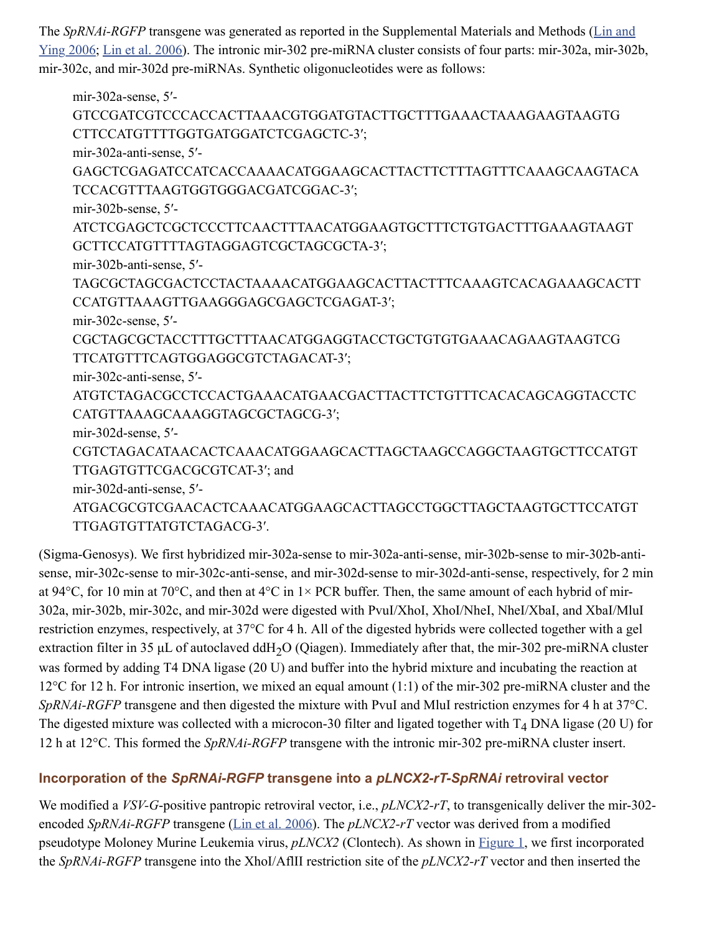The *SpRNAi-RGFP* transgene was generated as reported in the Supplemental Materials and Methods (Lin and [Ying 2006; Lin et al. 2006\). The intronic mir-302 pre-miRNA cluster consists of four parts: mir-302a, mir-302](https://www.ncbi.nlm.nih.gov/pmc/articles/PMC2553732/#B05)b, mir-302c, and mir-302d pre-miRNAs. Synthetic oligonucleotides were as follows:

mir-302a-sense, 5′- GTCCGATCGTCCCACCACTTAAACGTGGATGTACTTGCTTTGAAACTAAAGAAGTAAGTG CTTCCATGTTTTGGTGATGGATCTCGAGCTC-3′; mir-302a-anti-sense, 5′- GAGCTCGAGATCCATCACCAAAACATGGAAGCACTTACTTCTTTAGTTTCAAAGCAAGTACA TCCACGTTTAAGTGGTGGGACGATCGGAC-3′; mir-302b-sense, 5′- ATCTCGAGCTCGCTCCCTTCAACTTTAACATGGAAGTGCTTTCTGTGACTTTGAAAGTAAGT GCTTCCATGTTTTAGTAGGAGTCGCTAGCGCTA-3′; mir-302b-anti-sense, 5′- TAGCGCTAGCGACTCCTACTAAAACATGGAAGCACTTACTTTCAAAGTCACAGAAAGCACTT CCATGTTAAAGTTGAAGGGAGCGAGCTCGAGAT-3′; mir-302c-sense, 5′- CGCTAGCGCTACCTTTGCTTTAACATGGAGGTACCTGCTGTGTGAAACAGAAGTAAGTCG TTCATGTTTCAGTGGAGGCGTCTAGACAT-3′; mir-302c-anti-sense, 5′- ATGTCTAGACGCCTCCACTGAAACATGAACGACTTACTTCTGTTTCACACAGCAGGTACCTC CATGTTAAAGCAAAGGTAGCGCTAGCG-3′; mir-302d-sense, 5′- CGTCTAGACATAACACTCAAACATGGAAGCACTTAGCTAAGCCAGGCTAAGTGCTTCCATGT TTGAGTGTTCGACGCGTCAT-3′; and mir-302d-anti-sense, 5′- ATGACGCGTCGAACACTCAAACATGGAAGCACTTAGCCTGGCTTAGCTAAGTGCTTCCATGT TTGAGTGTTATGTCTAGACG-3′.

(Sigma-Genosys). We first hybridized mir-302a-sense to mir-302a-anti-sense, mir-302b-sense to mir-302b-antisense, mir-302c-sense to mir-302c-anti-sense, and mir-302d-sense to mir-302d-anti-sense, respectively, for 2 min at 94 $^{\circ}$ C, for 10 min at 70 $^{\circ}$ C, and then at 4 $^{\circ}$ C in 1× PCR buffer. Then, the same amount of each hybrid of mir-302a, mir-302b, mir-302c, and mir-302d were digested with PvuI/XhoI, XhoI/NheI, NheI/XbaI, and XbaI/MluI restriction enzymes, respectively, at 37°C for 4 h. All of the digested hybrids were collected together with a gel extraction filter in 35  $\mu$ L of autoclaved ddH<sub>2</sub>O (Qiagen). Immediately after that, the mir-302 pre-miRNA cluster was formed by adding T4 DNA ligase (20 U) and buffer into the hybrid mixture and incubating the reaction at 12°C for 12 h. For intronic insertion, we mixed an equal amount (1:1) of the mir-302 pre-miRNA cluster and the *SpRNAi-RGFP* transgene and then digested the mixture with PvuI and MluI restriction enzymes for 4 h at 37°C. The digested mixture was collected with a microcon-30 filter and ligated together with  $T_4$  DNA ligase (20 U) for 12 h at 12°C. This formed the *SpRNAi-RGFP* transgene with the intronic mir-302 pre-miRNA cluster insert.

# **Incorporation of the** *SpRNAi-RGFP* **transgene into a** *pLNCX2-rT-SpRNAi* **retroviral vector**

We modified a *VSV-G*-positive pantropic retroviral vector, i.e., *pLNCX2-rT*, to transgenically deliver the mir-302encoded *SpRNAi-RGFP* transgene ([Lin et al. 2006\)](https://www.ncbi.nlm.nih.gov/pmc/articles/PMC2553732/#B07). The *pLNCX2-rT* vector was derived from a modified pseudotype Moloney Murine Leukemia virus, *pLNCX2* (Clontech). As shown in [Figure 1,](https://www.ncbi.nlm.nih.gov/pmc/articles/PMC2553732/figure/F1/) we first incorporated the *SpRNAi-RGFP* transgene into the XhoI/AflII restriction site of the *pLNCX2-rT* vector and then inserted the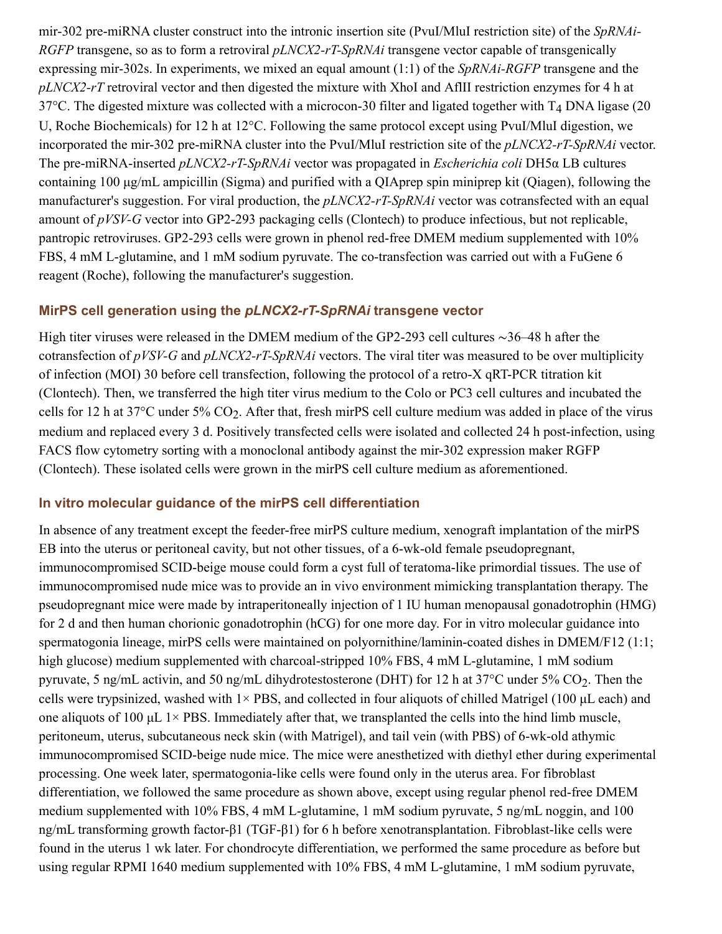mir-302 pre-miRNA cluster construct into the intronic insertion site (PvuI/MluI restriction site) of the *SpRNAi-RGFP* transgene, so as to form a retroviral *pLNCX2-rT-SpRNAi* transgene vector capable of transgenically expressing mir-302s. In experiments, we mixed an equal amount (1:1) of the *SpRNAi-RGFP* transgene and the *pLNCX2-rT* retroviral vector and then digested the mixture with XhoI and AflII restriction enzymes for 4 h at 37°C. The digested mixture was collected with a microcon-30 filter and ligated together with  $T_4$  DNA ligase (20 U, Roche Biochemicals) for 12 h at 12°C. Following the same protocol except using PvuI/MluI digestion, we incorporated the mir-302 pre-miRNA cluster into the PvuI/MluI restriction site of the *pLNCX2-rT-SpRNAi* vector. The pre-miRNA-inserted *pLNCX2-rT-SpRNAi* vector was propagated in *Escherichia coli* DH5α LB cultures containing 100 µg/mL ampicillin (Sigma) and purified with a QIAprep spin miniprep kit (Qiagen), following the manufacturer's suggestion. For viral production, the *pLNCX2-rT-SpRNAi* vector was cotransfected with an equal amount of *pVSV-G* vector into GP2-293 packaging cells (Clontech) to produce infectious, but not replicable, pantropic retroviruses. GP2-293 cells were grown in phenol red-free DMEM medium supplemented with 10% FBS, 4 mM L-glutamine, and 1 mM sodium pyruvate. The co-transfection was carried out with a FuGene 6 reagent (Roche), following the manufacturer's suggestion.

#### **MirPS cell generation using the** *pLNCX2-rT-SpRNAi* **transgene vector**

High titer viruses were released in the DMEM medium of the GP2-293 cell cultures ∼36–48 h after the cotransfection of *pVSV-G* and *pLNCX2-rT-SpRNAi* vectors. The viral titer was measured to be over multiplicity of infection (MOI) 30 before cell transfection, following the protocol of a retro-X qRT-PCR titration kit (Clontech). Then, we transferred the high titer virus medium to the Colo or PC3 cell cultures and incubated the cells for 12 h at 37°C under 5%  $CO_2$ . After that, fresh mirPS cell culture medium was added in place of the virus medium and replaced every 3 d. Positively transfected cells were isolated and collected 24 h post-infection, using FACS flow cytometry sorting with a monoclonal antibody against the mir-302 expression maker RGFP (Clontech). These isolated cells were grown in the mirPS cell culture medium as aforementioned.

## **In vitro molecular guidance of the mirPS cell differentiation**

In absence of any treatment except the feeder-free mirPS culture medium, xenograft implantation of the mirPS EB into the uterus or peritoneal cavity, but not other tissues, of a 6-wk-old female pseudopregnant, immunocompromised SCID-beige mouse could form a cyst full of teratoma-like primordial tissues. The use of immunocompromised nude mice was to provide an in vivo environment mimicking transplantation therapy. The pseudopregnant mice were made by intraperitoneally injection of 1 IU human menopausal gonadotrophin (HMG) for 2 d and then human chorionic gonadotrophin (hCG) for one more day. For in vitro molecular guidance into spermatogonia lineage, mirPS cells were maintained on polyornithine/laminin-coated dishes in DMEM/F12 (1:1; high glucose) medium supplemented with charcoal-stripped 10% FBS, 4 mM L-glutamine, 1 mM sodium pyruvate, 5 ng/mL activin, and 50 ng/mL dihydrotestosterone (DHT) for 12 h at 37°C under 5%  $CO_2$ . Then the cells were trypsinized, washed with  $1\times$  PBS, and collected in four aliquots of chilled Matrigel (100 µL each) and one aliquots of 100  $\mu$ L 1× PBS. Immediately after that, we transplanted the cells into the hind limb muscle, peritoneum, uterus, subcutaneous neck skin (with Matrigel), and tail vein (with PBS) of 6-wk-old athymic immunocompromised SCID-beige nude mice. The mice were anesthetized with diethyl ether during experimental processing. One week later, spermatogonia-like cells were found only in the uterus area. For fibroblast differentiation, we followed the same procedure as shown above, except using regular phenol red-free DMEM medium supplemented with 10% FBS, 4 mM L-glutamine, 1 mM sodium pyruvate, 5 ng/mL noggin, and 100 ng/mL transforming growth factor-β1 (TGF-β1) for 6 h before xenotransplantation. Fibroblast-like cells were found in the uterus 1 wk later. For chondrocyte differentiation, we performed the same procedure as before but using regular RPMI 1640 medium supplemented with 10% FBS, 4 mM L-glutamine, 1 mM sodium pyruvate,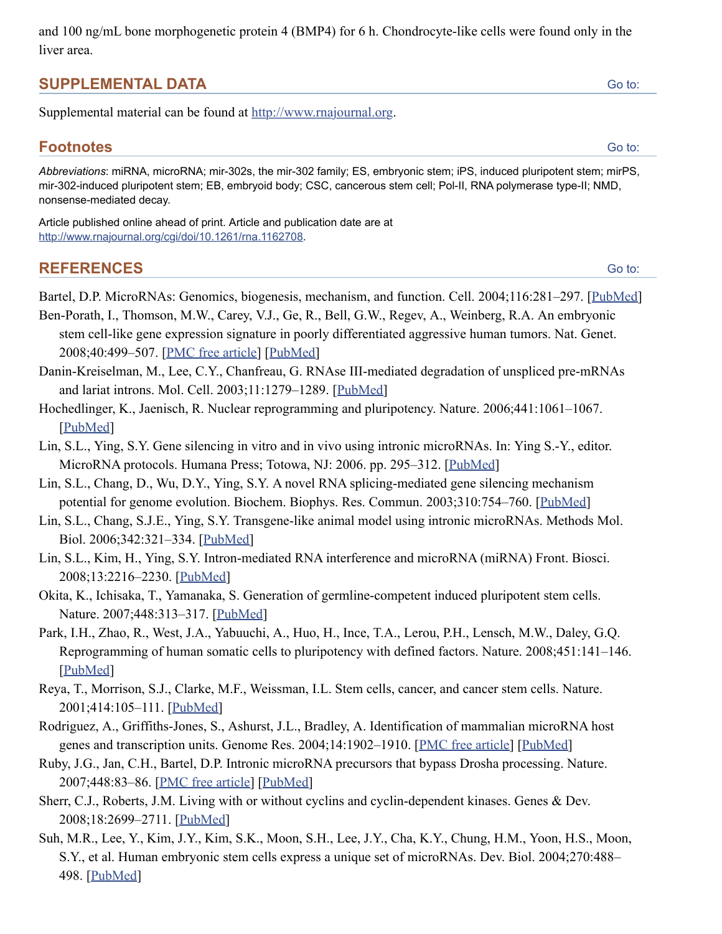and 100 ng/mL bone morphogenetic protein 4 (BMP4) for 6 h. Chondrocyte-like cells were found only in the liver area.

# **SUPPLEMENTAL DATA**

Supplemental material can be found at [http://www.rnajournal.org](http://www.rnajournal.org/).

# **Footnotes**

*Abbreviations*: miRNA, microRNA; mir-302s, the mir-302 family; ES, embryonic stem; iPS, induced pluripotent stem; mirPS, mir-302-induced pluripotent stem; EB, embryoid body; CSC, cancerous stem cell; Pol-II, RNA polymerase type-II; NMD, nonsense-mediated decay.

Article published online ahead of print. Article and publication date are at <http://www.rnajournal.org/cgi/doi/10.1261/rna.1162708>.

# **REFERENCES**

Bartel, D.P. MicroRNAs: Genomics, biogenesis, mechanism, and function. Cell. 2004;116:281–297. [[PubMed\]](https://www.ncbi.nlm.nih.gov/pubmed/14744438)

Ben-Porath, I., Thomson, M.W., Carey, V.J., Ge, R., Bell, G.W., Regev, A., Weinberg, R.A. An embryonic stem cell-like gene expression signature in poorly differentiated aggressive human tumors. Nat. Genet. 2008;40:499–507. [\[PMC free article\]](https://www.ncbi.nlm.nih.gov/pmc/articles/PMC2912221/) [\[PubMed\]](https://www.ncbi.nlm.nih.gov/pubmed/18443585)

- Danin-Kreiselman, M., Lee, C.Y., Chanfreau, G. RNAse III-mediated degradation of unspliced pre-mRNAs and lariat introns. Mol. Cell. 2003;11:1279–1289. [[PubMed\]](https://www.ncbi.nlm.nih.gov/pubmed/12769851)
- Hochedlinger, K., Jaenisch, R. Nuclear reprogramming and pluripotency. Nature. 2006;441:1061–1067. [\[PubMed](https://www.ncbi.nlm.nih.gov/pubmed/16810240)]
- Lin, S.L., Ying, S.Y. Gene silencing in vitro and in vivo using intronic microRNAs. In: Ying S.-Y., editor. MicroRNA protocols. Humana Press; Totowa, NJ: 2006. pp. 295–312. [[PubMed\]](https://www.ncbi.nlm.nih.gov/pubmed/16957384)
- Lin, S.L., Chang, D., Wu, D.Y., Ying, S.Y. A novel RNA splicing-mediated gene silencing mechanism potential for genome evolution. Biochem. Biophys. Res. Commun. 2003;310:754–760. [\[PubMed\]](https://www.ncbi.nlm.nih.gov/pubmed/14550267)
- Lin, S.L., Chang, S.J.E., Ying, S.Y. Transgene-like animal model using intronic microRNAs. Methods Mol. Biol. 2006;342:321–334. [[PubMed\]](https://www.ncbi.nlm.nih.gov/pubmed/16957386)
- Lin, S.L., Kim, H., Ying, S.Y. Intron-mediated RNA interference and microRNA (miRNA) Front. Biosci. 2008;13:2216–2230. [[PubMed\]](https://www.ncbi.nlm.nih.gov/pubmed/17981704)
- Okita, K., Ichisaka, T., Yamanaka, S. Generation of germline-competent induced pluripotent stem cells. Nature. 2007;448:313–317. [[PubMed](https://www.ncbi.nlm.nih.gov/pubmed/17554338)]
- Park, I.H., Zhao, R., West, J.A., Yabuuchi, A., Huo, H., Ince, T.A., Lerou, P.H., Lensch, M.W., Daley, G.Q. Reprogramming of human somatic cells to pluripotency with defined factors. Nature. 2008;451:141–146. [\[PubMed](https://www.ncbi.nlm.nih.gov/pubmed/18157115)]
- Reya, T., Morrison, S.J., Clarke, M.F., Weissman, I.L. Stem cells, cancer, and cancer stem cells. Nature. 2001;414:105–111. [\[PubMed](https://www.ncbi.nlm.nih.gov/pubmed/11689955)]
- Rodriguez, A., Griffiths-Jones, S., Ashurst, J.L., Bradley, A. Identification of mammalian microRNA host genes and transcription units. Genome Res. 2004;14:1902-1910. [[PMC free article](https://www.ncbi.nlm.nih.gov/pmc/articles/PMC524413/)] [[PubMed\]](https://www.ncbi.nlm.nih.gov/pubmed/15364901)
- Ruby, J.G., Jan, C.H., Bartel, D.P. Intronic microRNA precursors that bypass Drosha processing. Nature. 2007;448:83–86. [\[PMC free article](https://www.ncbi.nlm.nih.gov/pmc/articles/PMC2475599/)] [\[PubMed\]](https://www.ncbi.nlm.nih.gov/pubmed/17589500)
- Sherr, C.J., Roberts, J.M. Living with or without cyclins and cyclin-dependent kinases. Genes & Dev. 2008;18:2699–2711. [\[PubMed\]](https://www.ncbi.nlm.nih.gov/pubmed/15545627)
- Suh, M.R., Lee, Y., Kim, J.Y., Kim, S.K., Moon, S.H., Lee, J.Y., Cha, K.Y., Chung, H.M., Yoon, H.S., Moon, S.Y., et al. Human embryonic stem cells express a unique set of microRNAs. Dev. Biol. 2004;270:488– 498. [\[PubMed](https://www.ncbi.nlm.nih.gov/pubmed/15183728)]

[Go to:](https://www.ncbi.nlm.nih.gov/pmc/articles/PMC2553732/#)

[Go to:](https://www.ncbi.nlm.nih.gov/pmc/articles/PMC2553732/#)